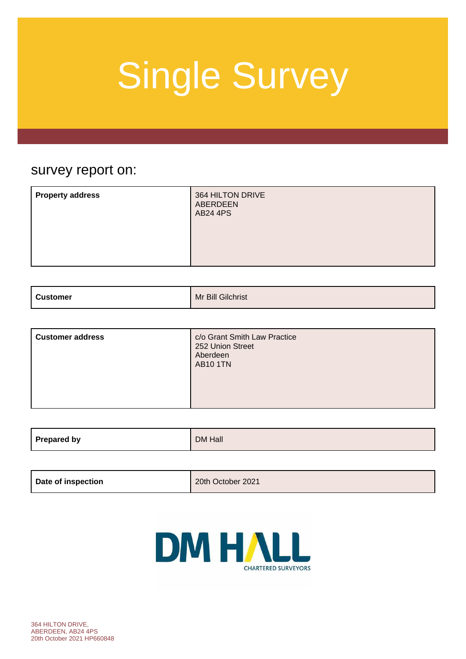### survey report on:

| <b>Property address</b> | 364 HILTON DRIVE<br>ABERDEEN<br><b>AB24 4PS</b> |
|-------------------------|-------------------------------------------------|
|                         |                                                 |

| <b>Customer</b><br>$\sim$ $\sim$ $\sim$ $\sim$ $\sim$ | Mr Bill Gilchrist |
|-------------------------------------------------------|-------------------|
|                                                       |                   |

| <b>Customer address</b> | c/o Grant Smith Law Practice<br>252 Union Street<br>Aberdeen<br><b>AB10 1TN</b> |
|-------------------------|---------------------------------------------------------------------------------|
|-------------------------|---------------------------------------------------------------------------------|

| Prepared by | DM Hall |
|-------------|---------|
|             |         |

| Date of inspection | 20th October 2021 |
|--------------------|-------------------|
|                    |                   |

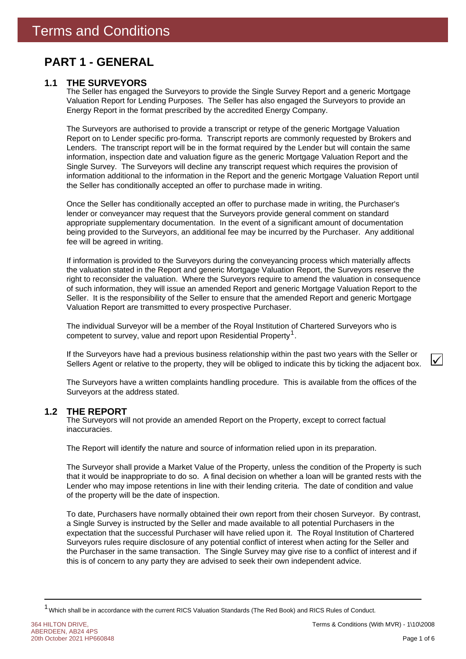### **PART 1 - GENERAL**

### **1.1 THE SURVEYORS**

The Seller has engaged the Surveyors to provide the Single Survey Report and a generic Mortgage Valuation Report for Lending Purposes. The Seller has also engaged the Surveyors to provide an Energy Report in the format prescribed by the accredited Energy Company.

The Surveyors are authorised to provide a transcript or retype of the generic Mortgage Valuation Report on to Lender specific pro-forma. Transcript reports are commonly requested by Brokers and Lenders. The transcript report will be in the format required by the Lender but will contain the same information, inspection date and valuation figure as the generic Mortgage Valuation Report and the Single Survey. The Surveyors will decline any transcript request which requires the provision of information additional to the information in the Report and the generic Mortgage Valuation Report until the Seller has conditionally accepted an offer to purchase made in writing.

Once the Seller has conditionally accepted an offer to purchase made in writing, the Purchaser's lender or conveyancer may request that the Surveyors provide general comment on standard appropriate supplementary documentation. In the event of a significant amount of documentation being provided to the Surveyors, an additional fee may be incurred by the Purchaser. Any additional fee will be agreed in writing.

If information is provided to the Surveyors during the conveyancing process which materially affects the valuation stated in the Report and generic Mortgage Valuation Report, the Surveyors reserve the right to reconsider the valuation. Where the Surveyors require to amend the valuation in consequence of such information, they will issue an amended Report and generic Mortgage Valuation Report to the Seller. It is the responsibility of the Seller to ensure that the amended Report and generic Mortgage Valuation Report are transmitted to every prospective Purchaser.

competent to survey, value and report upon Residential Property<sup>1</sup>. The individual Surveyor will be a member of the Royal Institution of Chartered Surveyors who is

If the Surveyors have had a previous business relationship within the past two years with the Seller or Sellers Agent or relative to the property, they will be obliged to indicate this by ticking the adjacent box.

The Surveyors have a written complaints handling procedure. This is available from the offices of the Surveyors at the address stated.

#### **THE REPORT 1.2**

The Surveyors will not provide an amended Report on the Property, except to correct factual inaccuracies.

The Report will identify the nature and source of information relied upon in its preparation.

The Surveyor shall provide a Market Value of the Property, unless the condition of the Property is such that it would be inappropriate to do so. A final decision on whether a loan will be granted rests with the Lender who may impose retentions in line with their lending criteria. The date of condition and value of the property will be the date of inspection.

To date, Purchasers have normally obtained their own report from their chosen Surveyor. By contrast, a Single Survey is instructed by the Seller and made available to all potential Purchasers in the expectation that the successful Purchaser will have relied upon it. The Royal Institution of Chartered Surveyors rules require disclosure of any potential conflict of interest when acting for the Seller and the Purchaser in the same transaction. The Single Survey may give rise to a conflict of interest and if this is of concern to any party they are advised to seek their own independent advice.

 $\checkmark$ 

<sup>&</sup>lt;sup>1</sup> Which shall be in accordance with the current RICS Valuation Standards (The Red Book) and RICS Rules of Conduct.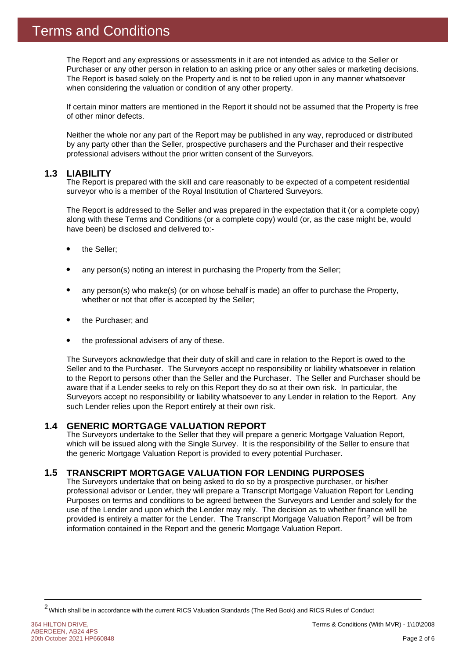The Report and any expressions or assessments in it are not intended as advice to the Seller or Purchaser or any other person in relation to an asking price or any other sales or marketing decisions. The Report is based solely on the Property and is not to be relied upon in any manner whatsoever when considering the valuation or condition of any other property.

If certain minor matters are mentioned in the Report it should not be assumed that the Property is free of other minor defects.

Neither the whole nor any part of the Report may be published in any way, reproduced or distributed by any party other than the Seller, prospective purchasers and the Purchaser and their respective professional advisers without the prior written consent of the Surveyors.

#### **1.3 LIABILITY**

The Report is prepared with the skill and care reasonably to be expected of a competent residential surveyor who is a member of the Royal Institution of Chartered Surveyors.

The Report is addressed to the Seller and was prepared in the expectation that it (or a complete copy) along with these Terms and Conditions (or a complete copy) would (or, as the case might be, would have been) be disclosed and delivered to:-

- the Seller;
- any person(s) noting an interest in purchasing the Property from the Seller;
- any person(s) who make(s) (or on whose behalf is made) an offer to purchase the Property, whether or not that offer is accepted by the Seller;
- the Purchaser; and
- the professional advisers of any of these.

The Surveyors acknowledge that their duty of skill and care in relation to the Report is owed to the Seller and to the Purchaser. The Surveyors accept no responsibility or liability whatsoever in relation to the Report to persons other than the Seller and the Purchaser. The Seller and Purchaser should be aware that if a Lender seeks to rely on this Report they do so at their own risk. In particular, the Surveyors accept no responsibility or liability whatsoever to any Lender in relation to the Report. Any such Lender relies upon the Report entirely at their own risk.

#### **GENERIC MORTGAGE VALUATION REPORT 1.4**

The Surveyors undertake to the Seller that they will prepare a generic Mortgage Valuation Report, which will be issued along with the Single Survey. It is the responsibility of the Seller to ensure that the generic Mortgage Valuation Report is provided to every potential Purchaser.

#### **TRANSCRIPT MORTGAGE VALUATION FOR LENDING PURPOSES 1.5**

provided is entirely a matter for the Lender. The Transcript Mortgage Valuation Report<sup>2</sup> will be from The Surveyors undertake that on being asked to do so by a prospective purchaser, or his/her professional advisor or Lender, they will prepare a Transcript Mortgage Valuation Report for Lending Purposes on terms and conditions to be agreed between the Surveyors and Lender and solely for the use of the Lender and upon which the Lender may rely. The decision as to whether finance will be information contained in the Report and the generic Mortgage Valuation Report.

<sup>2</sup>Which shall be in accordance with the current RICS Valuation Standards (The Red Book) and RICS Rules of Conduct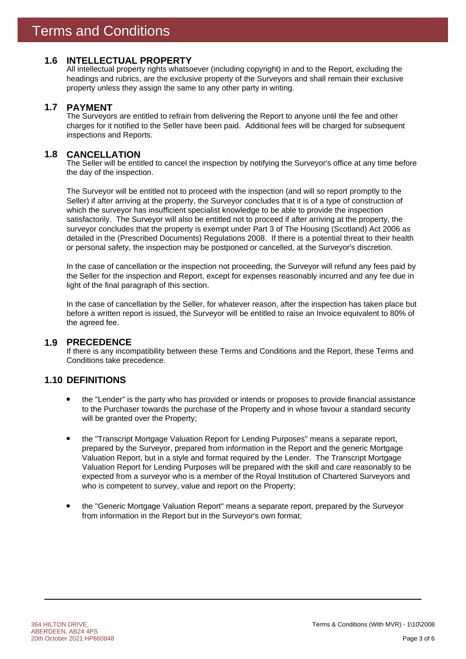### **1.6 INTELLECTUAL PROPERTY**

All intellectual property rights whatsoever (including copyright) in and to the Report, excluding the headings and rubrics, are the exclusive property of the Surveyors and shall remain their exclusive property unless they assign the same to any other party in writing.

#### **PAYMENT 1.7**

The Surveyors are entitled to refrain from delivering the Report to anyone until the fee and other charges for it notified to the Seller have been paid. Additional fees will be charged for subsequent inspections and Reports.

#### **CANCELLATION 1.8**

The Seller will be entitled to cancel the inspection by notifying the Surveyor's office at any time before the day of the inspection.

The Surveyor will be entitled not to proceed with the inspection (and will so report promptly to the Seller) if after arriving at the property, the Surveyor concludes that it is of a type of construction of which the surveyor has insufficient specialist knowledge to be able to provide the inspection satisfactorily. The Surveyor will also be entitled not to proceed if after arriving at the property, the surveyor concludes that the property is exempt under Part 3 of The Housing (Scotland) Act 2006 as detailed in the (Prescribed Documents) Regulations 2008. If there is a potential threat to their health or personal safety, the inspection may be postponed or cancelled, at the Surveyor's discretion.

In the case of cancellation or the inspection not proceeding, the Surveyor will refund any fees paid by the Seller for the inspection and Report, except for expenses reasonably incurred and any fee due in light of the final paragraph of this section.

In the case of cancellation by the Seller, for whatever reason, after the inspection has taken place but before a written report is issued, the Surveyor will be entitled to raise an Invoice equivalent to 80% of the agreed fee.

### **PRECEDENCE 1.9**

If there is any incompatibility between these Terms and Conditions and the Report, these Terms and Conditions take precedence.

### **1.10 DEFINITIONS**

- the "Lender" is the party who has provided or intends or proposes to provide financial assistance to the Purchaser towards the purchase of the Property and in whose favour a standard security will be granted over the Property;
- the "Transcript Mortgage Valuation Report for Lending Purposes" means a separate report, prepared by the Surveyor, prepared from information in the Report and the generic Mortgage Valuation Report, but in a style and format required by the Lender. The Transcript Mortgage Valuation Report for Lending Purposes will be prepared with the skill and care reasonably to be expected from a surveyor who is a member of the Royal Institution of Chartered Surveyors and who is competent to survey, value and report on the Property;
- the "Generic Mortgage Valuation Report" means a separate report, prepared by the Surveyor from information in the Report but in the Surveyor's own format;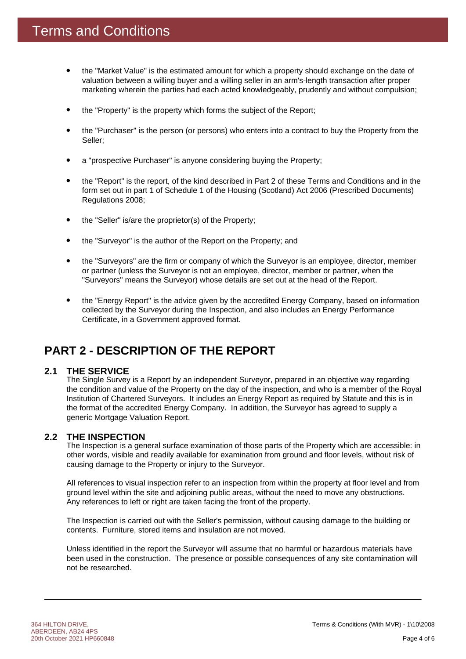- the "Market Value" is the estimated amount for which a property should exchange on the date of valuation between a willing buyer and a willing seller in an arm's-length transaction after proper marketing wherein the parties had each acted knowledgeably, prudently and without compulsion;
- the "Property" is the property which forms the subject of the Report;
- the "Purchaser" is the person (or persons) who enters into a contract to buy the Property from the Seller;
- a "prospective Purchaser" is anyone considering buying the Property;
- the "Report" is the report, of the kind described in Part 2 of these Terms and Conditions and in the form set out in part 1 of Schedule 1 of the Housing (Scotland) Act 2006 (Prescribed Documents) Regulations 2008;
- the "Seller" is/are the proprietor(s) of the Property;
- the "Surveyor" is the author of the Report on the Property; and
- the "Surveyors" are the firm or company of which the Surveyor is an employee, director, member or partner (unless the Surveyor is not an employee, director, member or partner, when the "Surveyors" means the Surveyor) whose details are set out at the head of the Report.
- the "Energy Report" is the advice given by the accredited Energy Company, based on information collected by the Surveyor during the Inspection, and also includes an Energy Performance Certificate, in a Government approved format.

### **PART 2 - DESCRIPTION OF THE REPORT**

#### **THE SERVICE 2.1**

The Single Survey is a Report by an independent Surveyor, prepared in an objective way regarding the condition and value of the Property on the day of the inspection, and who is a member of the Royal Institution of Chartered Surveyors. It includes an Energy Report as required by Statute and this is in the format of the accredited Energy Company. In addition, the Surveyor has agreed to supply a generic Mortgage Valuation Report.

### **THE INSPECTION 2.2**

The Inspection is a general surface examination of those parts of the Property which are accessible: in other words, visible and readily available for examination from ground and floor levels, without risk of causing damage to the Property or injury to the Surveyor.

All references to visual inspection refer to an inspection from within the property at floor level and from ground level within the site and adjoining public areas, without the need to move any obstructions. Any references to left or right are taken facing the front of the property.

The Inspection is carried out with the Seller's permission, without causing damage to the building or contents. Furniture, stored items and insulation are not moved.

Unless identified in the report the Surveyor will assume that no harmful or hazardous materials have been used in the construction. The presence or possible consequences of any site contamination will not be researched.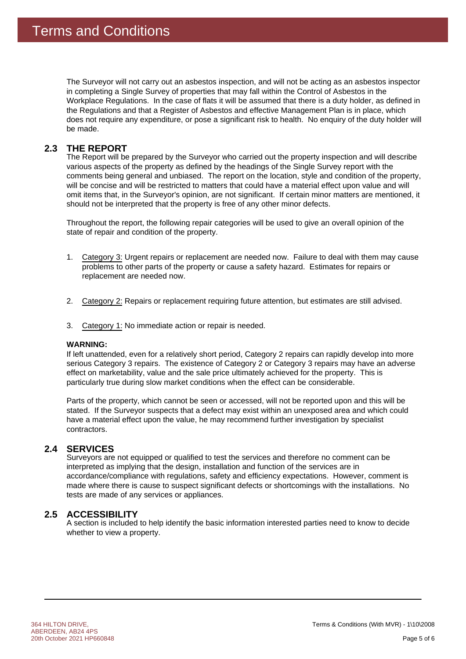The Surveyor will not carry out an asbestos inspection, and will not be acting as an asbestos inspector in completing a Single Survey of properties that may fall within the Control of Asbestos in the Workplace Regulations. In the case of flats it will be assumed that there is a duty holder, as defined in the Regulations and that a Register of Asbestos and effective Management Plan is in place, which does not require any expenditure, or pose a significant risk to health. No enquiry of the duty holder will be made.

#### **THE REPORT 2.3**

The Report will be prepared by the Surveyor who carried out the property inspection and will describe various aspects of the property as defined by the headings of the Single Survey report with the comments being general and unbiased. The report on the location, style and condition of the property, will be concise and will be restricted to matters that could have a material effect upon value and will omit items that, in the Surveyor's opinion, are not significant. If certain minor matters are mentioned, it should not be interpreted that the property is free of any other minor defects.

Throughout the report, the following repair categories will be used to give an overall opinion of the state of repair and condition of the property.

- 1. Category 3: Urgent repairs or replacement are needed now. Failure to deal with them may cause problems to other parts of the property or cause a safety hazard. Estimates for repairs or replacement are needed now.
- 2. Category 2: Repairs or replacement requiring future attention, but estimates are still advised.
- 3. Category 1: No immediate action or repair is needed.

### **WARNING:**

If left unattended, even for a relatively short period, Category 2 repairs can rapidly develop into more serious Category 3 repairs. The existence of Category 2 or Category 3 repairs may have an adverse effect on marketability, value and the sale price ultimately achieved for the property. This is particularly true during slow market conditions when the effect can be considerable.

Parts of the property, which cannot be seen or accessed, will not be reported upon and this will be stated. If the Surveyor suspects that a defect may exist within an unexposed area and which could have a material effect upon the value, he may recommend further investigation by specialist contractors.

### 2.4 SERVICES

Surveyors are not equipped or qualified to test the services and therefore no comment can be interpreted as implying that the design, installation and function of the services are in accordance/compliance with regulations, safety and efficiency expectations. However, comment is made where there is cause to suspect significant defects or shortcomings with the installations. No tests are made of any services or appliances.

### **ACCESSIBILITY 2.5**

A section is included to help identify the basic information interested parties need to know to decide whether to view a property.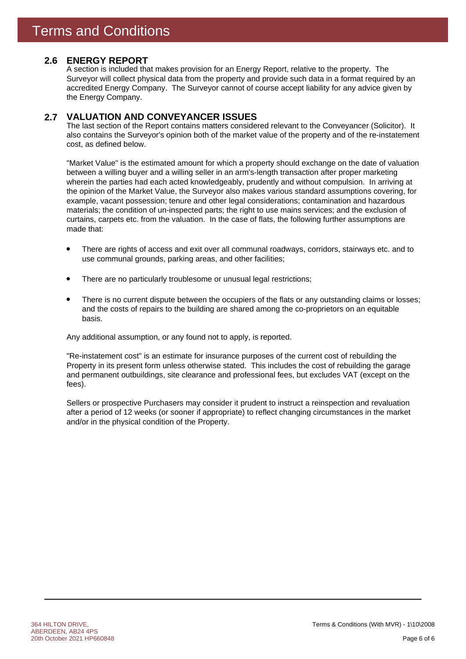### **ENERGY REPORT 2.6**

A section is included that makes provision for an Energy Report, relative to the property. The Surveyor will collect physical data from the property and provide such data in a format required by an accredited Energy Company. The Surveyor cannot of course accept liability for any advice given by the Energy Company.

#### **VALUATION AND CONVEYANCER ISSUES 2.7**

The last section of the Report contains matters considered relevant to the Conveyancer (Solicitor). It also contains the Surveyor's opinion both of the market value of the property and of the re-instatement cost, as defined below.

"Market Value" is the estimated amount for which a property should exchange on the date of valuation between a willing buyer and a willing seller in an arm's-length transaction after proper marketing wherein the parties had each acted knowledgeably, prudently and without compulsion. In arriving at the opinion of the Market Value, the Surveyor also makes various standard assumptions covering, for example, vacant possession; tenure and other legal considerations; contamination and hazardous materials; the condition of un-inspected parts; the right to use mains services; and the exclusion of curtains, carpets etc. from the valuation. In the case of flats, the following further assumptions are made that:

- There are rights of access and exit over all communal roadways, corridors, stairways etc. and to use communal grounds, parking areas, and other facilities;
- There are no particularly troublesome or unusual legal restrictions;
- There is no current dispute between the occupiers of the flats or any outstanding claims or losses; and the costs of repairs to the building are shared among the co-proprietors on an equitable basis.

Any additional assumption, or any found not to apply, is reported.

"Re-instatement cost" is an estimate for insurance purposes of the current cost of rebuilding the Property in its present form unless otherwise stated. This includes the cost of rebuilding the garage and permanent outbuildings, site clearance and professional fees, but excludes VAT (except on the fees).

Sellers or prospective Purchasers may consider it prudent to instruct a reinspection and revaluation after a period of 12 weeks (or sooner if appropriate) to reflect changing circumstances in the market and/or in the physical condition of the Property.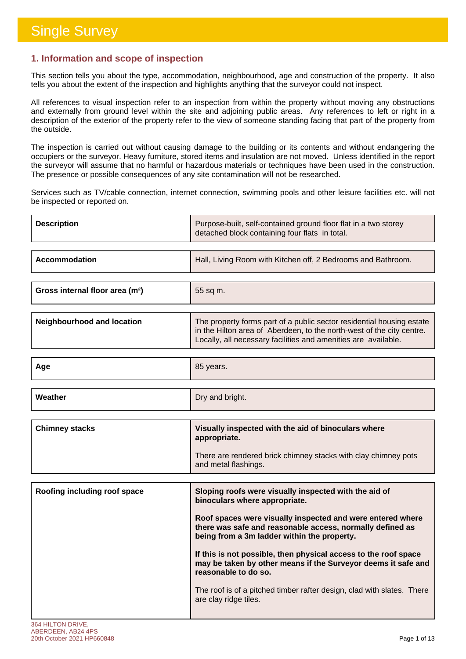г

### **1. Information and scope of inspection**

This section tells you about the type, accommodation, neighbourhood, age and construction of the property. It also tells you about the extent of the inspection and highlights anything that the surveyor could not inspect.

All references to visual inspection refer to an inspection from within the property without moving any obstructions and externally from ground level within the site and adjoining public areas. Any references to left or right in a description of the exterior of the property refer to the view of someone standing facing that part of the property from the outside.

The inspection is carried out without causing damage to the building or its contents and without endangering the occupiers or the surveyor. Heavy furniture, stored items and insulation are not moved. Unless identified in the report the surveyor will assume that no harmful or hazardous materials or techniques have been used in the construction. The presence or possible consequences of any site contamination will not be researched.

Services such as TV/cable connection, internet connection, swimming pools and other leisure facilities etc. will not be inspected or reported on.

| <b>Description</b>                          | Purpose-built, self-contained ground floor flat in a two storey<br>detached block containing four flats in total.                                                                                                |
|---------------------------------------------|------------------------------------------------------------------------------------------------------------------------------------------------------------------------------------------------------------------|
| <b>Accommodation</b>                        | Hall, Living Room with Kitchen off, 2 Bedrooms and Bathroom.                                                                                                                                                     |
| Gross internal floor area (m <sup>2</sup> ) | 55 sq m.                                                                                                                                                                                                         |
| <b>Neighbourhood and location</b>           | The property forms part of a public sector residential housing estate<br>in the Hilton area of Aberdeen, to the north-west of the city centre.<br>Locally, all necessary facilities and amenities are available. |
| Age                                         | 85 years.                                                                                                                                                                                                        |
| Weather                                     | Dry and bright.                                                                                                                                                                                                  |
| <b>Chimney stacks</b>                       | Visually inspected with the aid of binoculars where                                                                                                                                                              |
|                                             | appropriate.                                                                                                                                                                                                     |
|                                             | There are rendered brick chimney stacks with clay chimney pots<br>and metal flashings.                                                                                                                           |
|                                             |                                                                                                                                                                                                                  |
|                                             |                                                                                                                                                                                                                  |
| Roofing including roof space                | Sloping roofs were visually inspected with the aid of<br>binoculars where appropriate.                                                                                                                           |
|                                             | Roof spaces were visually inspected and were entered where<br>there was safe and reasonable access, normally defined as<br>being from a 3m ladder within the property.                                           |
|                                             | If this is not possible, then physical access to the roof space<br>may be taken by other means if the Surveyor deems it safe and<br>reasonable to do so.                                                         |
|                                             | The roof is of a pitched timber rafter design, clad with slates. There<br>are clay ridge tiles.                                                                                                                  |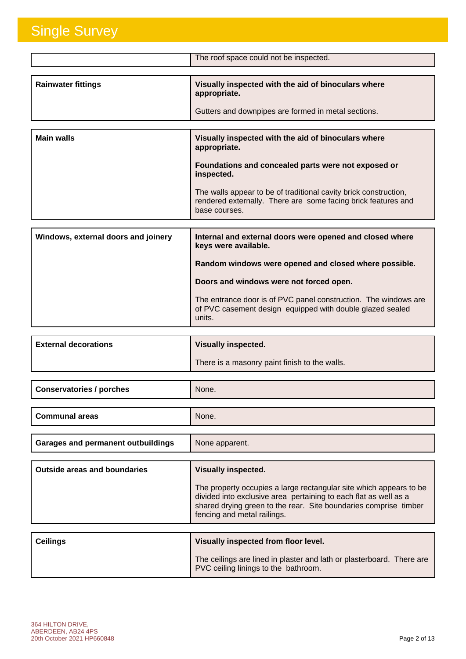|                                     | The roof space could not be inspected.                                                                                                             |
|-------------------------------------|----------------------------------------------------------------------------------------------------------------------------------------------------|
|                                     |                                                                                                                                                    |
| <b>Rainwater fittings</b>           | Visually inspected with the aid of binoculars where<br>appropriate.                                                                                |
|                                     | Gutters and downpipes are formed in metal sections.                                                                                                |
|                                     |                                                                                                                                                    |
| <b>Main walls</b>                   | Visually inspected with the aid of binoculars where<br>appropriate.                                                                                |
|                                     | Foundations and concealed parts were not exposed or<br>inspected.                                                                                  |
|                                     | The walls appear to be of traditional cavity brick construction,<br>rendered externally. There are some facing brick features and<br>base courses. |
|                                     |                                                                                                                                                    |
| Windows, external doors and joinery | Internal and external doors were opened and closed where<br>keys were available.                                                                   |
|                                     | Random windows were opened and closed where possible.                                                                                              |
|                                     | Doors and windows were not forced open.                                                                                                            |
|                                     | The entrance door is of PVC panel construction. The windows are                                                                                    |

| <b>External decorations</b> | <b>Visually inspected.</b>                    |
|-----------------------------|-----------------------------------------------|
|                             | There is a masonry paint finish to the walls. |

units.

of PVC casement design equipped with double glazed sealed

| <b>Conservatories / porches</b>           | None.          |
|-------------------------------------------|----------------|
|                                           |                |
| <b>Communal areas</b>                     | None.          |
|                                           |                |
| <b>Garages and permanent outbuildings</b> | None apparent. |

| <b>Outside areas and boundaries</b> | <b>Visually inspected.</b>                                                                                                                                                                                                                |
|-------------------------------------|-------------------------------------------------------------------------------------------------------------------------------------------------------------------------------------------------------------------------------------------|
|                                     | The property occupies a large rectangular site which appears to be<br>divided into exclusive area pertaining to each flat as well as a<br>shared drying green to the rear. Site boundaries comprise timber<br>fencing and metal railings. |
|                                     |                                                                                                                                                                                                                                           |
|                                     |                                                                                                                                                                                                                                           |

| Ceilings | Visually inspected from floor level.                                                                          |
|----------|---------------------------------------------------------------------------------------------------------------|
|          | The ceilings are lined in plaster and lath or plasterboard. There are<br>PVC ceiling linings to the bathroom. |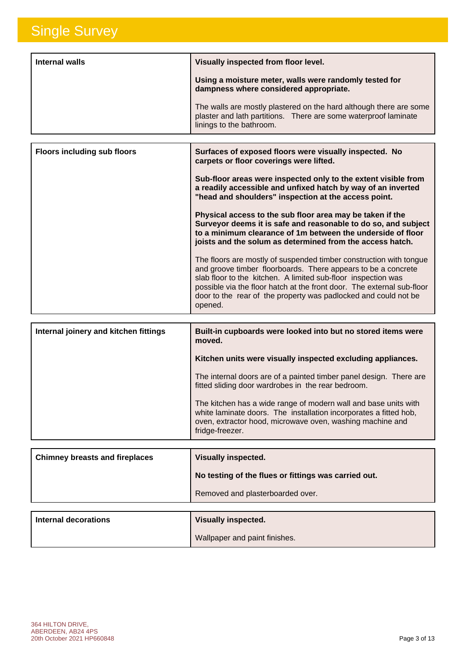| Internal walls | Visually inspected from floor level.                                                                                                                              |
|----------------|-------------------------------------------------------------------------------------------------------------------------------------------------------------------|
|                | Using a moisture meter, walls were randomly tested for<br>dampness where considered appropriate.                                                                  |
|                | The walls are mostly plastered on the hard although there are some<br>plaster and lath partitions. There are some waterproof laminate<br>linings to the bathroom. |

| <b>Floors including sub floors</b> | Surfaces of exposed floors were visually inspected. No<br>carpets or floor coverings were lifted.                                                                                                                                                                                                                                                            |
|------------------------------------|--------------------------------------------------------------------------------------------------------------------------------------------------------------------------------------------------------------------------------------------------------------------------------------------------------------------------------------------------------------|
|                                    | Sub-floor areas were inspected only to the extent visible from<br>a readily accessible and unfixed hatch by way of an inverted<br>"head and shoulders" inspection at the access point.                                                                                                                                                                       |
|                                    | Physical access to the sub floor area may be taken if the<br>Surveyor deems it is safe and reasonable to do so, and subject<br>to a minimum clearance of 1m between the underside of floor<br>joists and the solum as determined from the access hatch.                                                                                                      |
|                                    | The floors are mostly of suspended timber construction with tongue<br>and groove timber floorboards. There appears to be a concrete<br>slab floor to the kitchen. A limited sub-floor inspection was<br>possible via the floor hatch at the front door. The external sub-floor<br>door to the rear of the property was padlocked and could not be<br>opened. |

| Internal joinery and kitchen fittings | Built-in cupboards were looked into but no stored items were<br>moved.                                                                                                                                               |
|---------------------------------------|----------------------------------------------------------------------------------------------------------------------------------------------------------------------------------------------------------------------|
|                                       | Kitchen units were visually inspected excluding appliances.                                                                                                                                                          |
|                                       | The internal doors are of a painted timber panel design. There are<br>fitted sliding door wardrobes in the rear bedroom.                                                                                             |
|                                       | The kitchen has a wide range of modern wall and base units with<br>white laminate doors. The installation incorporates a fitted hob,<br>oven, extractor hood, microwave oven, washing machine and<br>fridge-freezer. |

| <b>Chimney breasts and fireplaces</b> | <b>Visually inspected.</b>                           |
|---------------------------------------|------------------------------------------------------|
|                                       | No testing of the flues or fittings was carried out. |
|                                       | Removed and plasterboarded over.                     |
|                                       |                                                      |

| Internal decorations | <b>Visually inspected.</b>    |
|----------------------|-------------------------------|
|                      | Wallpaper and paint finishes. |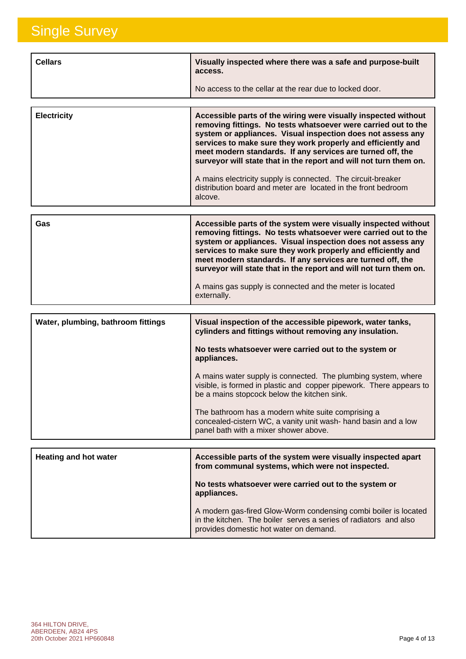| <b>Cellars</b> | Visually inspected where there was a safe and purpose-built<br>access. |
|----------------|------------------------------------------------------------------------|
|                | No access to the cellar at the rear due to locked door.                |

| <b>Electricity</b> | Accessible parts of the wiring were visually inspected without<br>removing fittings. No tests whatsoever were carried out to the<br>system or appliances. Visual inspection does not assess any<br>services to make sure they work properly and efficiently and<br>meet modern standards. If any services are turned off, the<br>surveyor will state that in the report and will not turn them on. |
|--------------------|----------------------------------------------------------------------------------------------------------------------------------------------------------------------------------------------------------------------------------------------------------------------------------------------------------------------------------------------------------------------------------------------------|
|                    | A mains electricity supply is connected. The circuit-breaker<br>distribution board and meter are located in the front bedroom<br>alcove.                                                                                                                                                                                                                                                           |

| Gas | Accessible parts of the system were visually inspected without<br>removing fittings. No tests whatsoever were carried out to the<br>system or appliances. Visual inspection does not assess any<br>services to make sure they work properly and efficiently and<br>meet modern standards. If any services are turned off, the<br>surveyor will state that in the report and will not turn them on. |
|-----|----------------------------------------------------------------------------------------------------------------------------------------------------------------------------------------------------------------------------------------------------------------------------------------------------------------------------------------------------------------------------------------------------|
|     | A mains gas supply is connected and the meter is located<br>externally.                                                                                                                                                                                                                                                                                                                            |

| Water, plumbing, bathroom fittings | Visual inspection of the accessible pipework, water tanks,<br>cylinders and fittings without removing any insulation.                                                               |
|------------------------------------|-------------------------------------------------------------------------------------------------------------------------------------------------------------------------------------|
|                                    | No tests whatsoever were carried out to the system or<br>appliances.                                                                                                                |
|                                    | A mains water supply is connected. The plumbing system, where<br>visible, is formed in plastic and copper pipework. There appears to<br>be a mains stopcock below the kitchen sink. |
|                                    | The bathroom has a modern white suite comprising a<br>concealed-cistern WC, a vanity unit wash- hand basin and a low<br>panel bath with a mixer shower above.                       |
|                                    |                                                                                                                                                                                     |
| <b>Heating and hot water</b>       | Accessible parts of the system were visually inspected apart<br>from communal systems, which were not inspected.                                                                    |

| from communal systems, which were not inspected.                                                                                                                              |
|-------------------------------------------------------------------------------------------------------------------------------------------------------------------------------|
| No tests whatsoever were carried out to the system or<br>appliances.                                                                                                          |
| A modern gas-fired Glow-Worm condensing combi boiler is located<br>in the kitchen. The boiler serves a series of radiators and also<br>provides domestic hot water on demand. |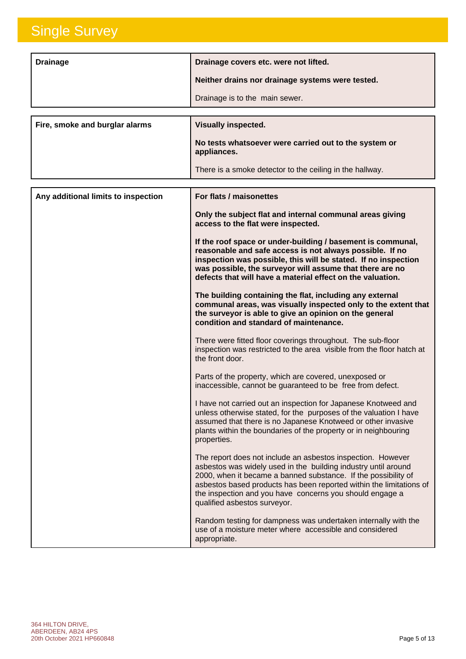| <b>Drainage</b>                     | Drainage covers etc. were not lifted.                                                                                                                                                                                                                                                                                                                              |
|-------------------------------------|--------------------------------------------------------------------------------------------------------------------------------------------------------------------------------------------------------------------------------------------------------------------------------------------------------------------------------------------------------------------|
|                                     | Neither drains nor drainage systems were tested.                                                                                                                                                                                                                                                                                                                   |
|                                     | Drainage is to the main sewer.                                                                                                                                                                                                                                                                                                                                     |
|                                     |                                                                                                                                                                                                                                                                                                                                                                    |
| Fire, smoke and burglar alarms      | <b>Visually inspected.</b>                                                                                                                                                                                                                                                                                                                                         |
|                                     | No tests whatsoever were carried out to the system or<br>appliances.                                                                                                                                                                                                                                                                                               |
|                                     | There is a smoke detector to the ceiling in the hallway.                                                                                                                                                                                                                                                                                                           |
| Any additional limits to inspection | For flats / maisonettes                                                                                                                                                                                                                                                                                                                                            |
|                                     | Only the subject flat and internal communal areas giving<br>access to the flat were inspected.                                                                                                                                                                                                                                                                     |
|                                     | If the roof space or under-building / basement is communal,<br>reasonable and safe access is not always possible. If no<br>inspection was possible, this will be stated. If no inspection<br>was possible, the surveyor will assume that there are no<br>defects that will have a material effect on the valuation.                                                |
|                                     | The building containing the flat, including any external<br>communal areas, was visually inspected only to the extent that<br>the surveyor is able to give an opinion on the general<br>condition and standard of maintenance.                                                                                                                                     |
|                                     | There were fitted floor coverings throughout. The sub-floor<br>inspection was restricted to the area visible from the floor hatch at<br>the front door.                                                                                                                                                                                                            |
|                                     | Parts of the property, which are covered, unexposed or<br>inaccessible, cannot be guaranteed to be free from defect.                                                                                                                                                                                                                                               |
|                                     | I have not carried out an inspection for Japanese Knotweed and<br>unless otherwise stated, for the purposes of the valuation I have<br>assumed that there is no Japanese Knotweed or other invasive<br>plants within the boundaries of the property or in neighbouring<br>properties.                                                                              |
|                                     | The report does not include an asbestos inspection. However<br>asbestos was widely used in the building industry until around<br>2000, when it became a banned substance. If the possibility of<br>asbestos based products has been reported within the limitations of<br>the inspection and you have concerns you should engage a<br>qualified asbestos surveyor. |
|                                     | Random testing for dampness was undertaken internally with the<br>use of a moisture meter where accessible and considered<br>appropriate.                                                                                                                                                                                                                          |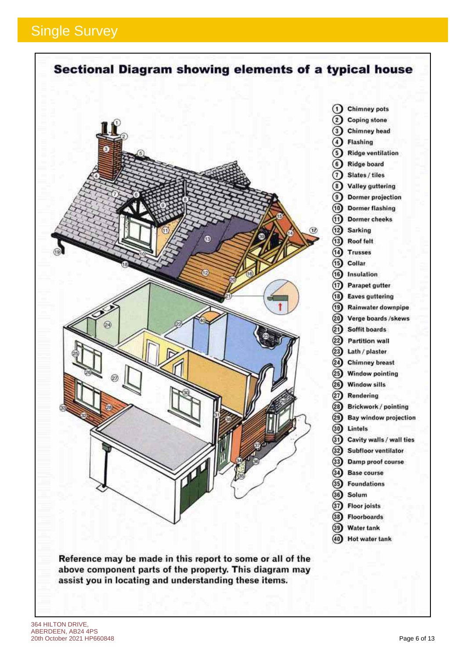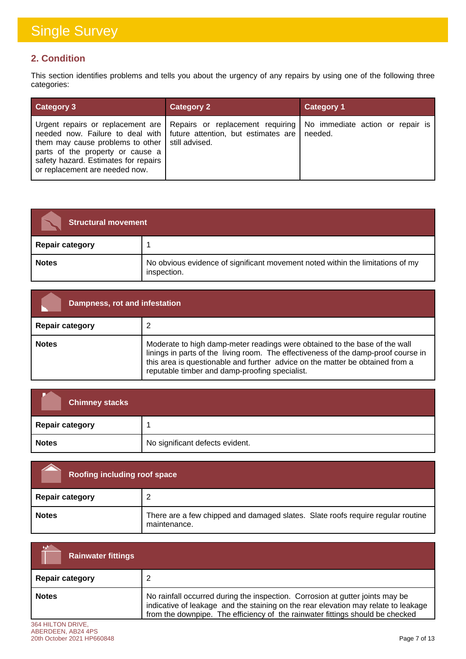### **2. Condition**

This section identifies problems and tells you about the urgency of any repairs by using one of the following three categories:

| <b>Category 3</b>                                                                                                                                               | <b>Category 2</b>                                                                                                                                                                               | <b>Category 1</b> |
|-----------------------------------------------------------------------------------------------------------------------------------------------------------------|-------------------------------------------------------------------------------------------------------------------------------------------------------------------------------------------------|-------------------|
| them may cause problems to other   still advised.<br>parts of the property or cause a<br>safety hazard. Estimates for repairs<br>or replacement are needed now. | Urgent repairs or replacement are   Repairs or replacement requiring   No immediate action or repair is<br>needed now. Failure to deal with $\vert$ future attention, but estimates are $\vert$ | needed.           |

| <b>Structural movement</b> |                                                                                               |
|----------------------------|-----------------------------------------------------------------------------------------------|
| <b>Repair category</b>     |                                                                                               |
| <b>Notes</b>               | No obvious evidence of significant movement noted within the limitations of my<br>inspection. |

| Dampness, rot and infestation |                                                                                                                                                                                                                                                                                                     |
|-------------------------------|-----------------------------------------------------------------------------------------------------------------------------------------------------------------------------------------------------------------------------------------------------------------------------------------------------|
| <b>Repair category</b>        |                                                                                                                                                                                                                                                                                                     |
| <b>Notes</b>                  | Moderate to high damp-meter readings were obtained to the base of the wall<br>linings in parts of the living room. The effectiveness of the damp-proof course in<br>this area is questionable and further advice on the matter be obtained from a<br>reputable timber and damp-proofing specialist. |

| <b>Chimney stacks</b>  |                                 |
|------------------------|---------------------------------|
| <b>Repair category</b> |                                 |
| <b>Notes</b>           | No significant defects evident. |

| <b>Roofing including roof space</b> |                                                                                                 |
|-------------------------------------|-------------------------------------------------------------------------------------------------|
| <b>Repair category</b>              |                                                                                                 |
| <b>Notes</b>                        | There are a few chipped and damaged slates. Slate roofs require regular routine<br>maintenance. |

| الخدمة<br><b>Rainwater fittings</b> |                                                                                                                                                                                                                                                      |
|-------------------------------------|------------------------------------------------------------------------------------------------------------------------------------------------------------------------------------------------------------------------------------------------------|
| <b>Repair category</b>              |                                                                                                                                                                                                                                                      |
| <b>Notes</b>                        | No rainfall occurred during the inspection. Corrosion at gutter joints may be<br>indicative of leakage and the staining on the rear elevation may relate to leakage<br>from the downpipe. The efficiency of the rainwater fittings should be checked |
| <b>2014 UILTON DONIE</b>            |                                                                                                                                                                                                                                                      |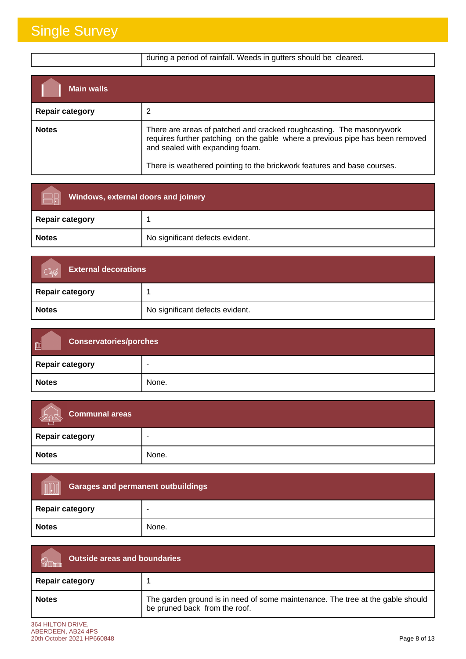|                        | during a period of rainfall. Weeds in gutters should be cleared.                                                                                                                                                                                                    |
|------------------------|---------------------------------------------------------------------------------------------------------------------------------------------------------------------------------------------------------------------------------------------------------------------|
| <b>Main walls</b>      |                                                                                                                                                                                                                                                                     |
| <b>Repair category</b> |                                                                                                                                                                                                                                                                     |
| <b>Notes</b>           | There are areas of patched and cracked roughcasting. The masonrywork<br>requires further patching on the gable where a previous pipe has been removed<br>and sealed with expanding foam.<br>There is weathered pointing to the brickwork features and base courses. |

| <b>Windows, external doors and joinery</b> |                                 |
|--------------------------------------------|---------------------------------|
| <b>Repair category</b>                     |                                 |
| <b>Notes</b>                               | No significant defects evident. |

| <b>External decorations</b> |                                 |
|-----------------------------|---------------------------------|
| Repair category             |                                 |
| <b>Notes</b>                | No significant defects evident. |

| 画<br><b>Conservatories/porches</b> |       |
|------------------------------------|-------|
| <b>Repair category</b>             | -     |
| <b>Notes</b>                       | None. |

| Communal areas<br>205  |       |
|------------------------|-------|
| <b>Repair category</b> |       |
| <b>Notes</b>           | None. |

| <b>Garages and permanent outbuildings</b><br><b>AUGURAL PROPERTY</b> |       |
|----------------------------------------------------------------------|-------|
| <b>Repair category</b>                                               |       |
| <b>Notes</b>                                                         | None. |

| <b>Outside areas and boundaries</b> |                                                                                                                 |
|-------------------------------------|-----------------------------------------------------------------------------------------------------------------|
| <b>Repair category</b>              |                                                                                                                 |
| <b>Notes</b>                        | The garden ground is in need of some maintenance. The tree at the gable should<br>be pruned back from the roof. |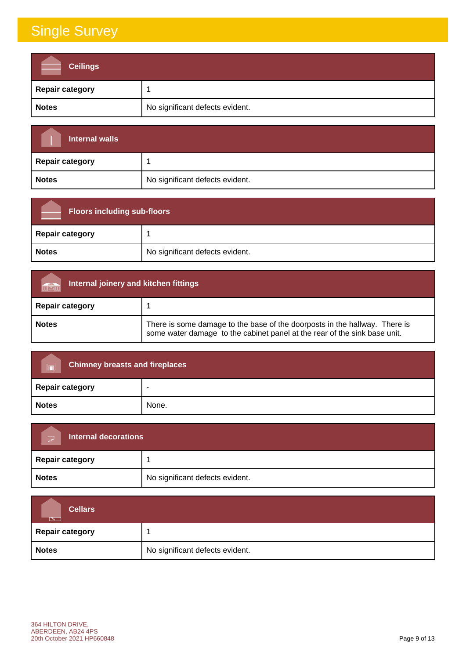| <b>Ceilings</b>        |                                 |
|------------------------|---------------------------------|
| <b>Repair category</b> |                                 |
| <b>Notes</b>           | No significant defects evident. |

| <b>Internal walls</b>  |                                 |
|------------------------|---------------------------------|
| <b>Repair category</b> |                                 |
| <b>Notes</b>           | No significant defects evident. |

| <b>Floors including sub-floors</b> |                                 |
|------------------------------------|---------------------------------|
| <b>Repair category</b>             |                                 |
| <b>Notes</b>                       | No significant defects evident. |

| Internal joinery and kitchen fittings<br><b>THEIR</b> |                                                                                                                                                         |
|-------------------------------------------------------|---------------------------------------------------------------------------------------------------------------------------------------------------------|
| <b>Repair category</b>                                |                                                                                                                                                         |
| <b>Notes</b>                                          | There is some damage to the base of the doorposts in the hallway. There is<br>some water damage to the cabinet panel at the rear of the sink base unit. |

| <b>Chimney breasts and fireplaces</b><br>$\Box$ |       |
|-------------------------------------------------|-------|
| <b>Repair category</b>                          | -     |
| <b>Notes</b>                                    | None. |

| Internal decorations<br>$\triangleright$ |                                 |
|------------------------------------------|---------------------------------|
| <b>Repair category</b>                   |                                 |
| <b>Notes</b>                             | No significant defects evident. |

| <b>Cellars</b><br>$\overline{\phantom{a}}$ |                                 |
|--------------------------------------------|---------------------------------|
| <b>Repair category</b>                     |                                 |
| <b>Notes</b>                               | No significant defects evident. |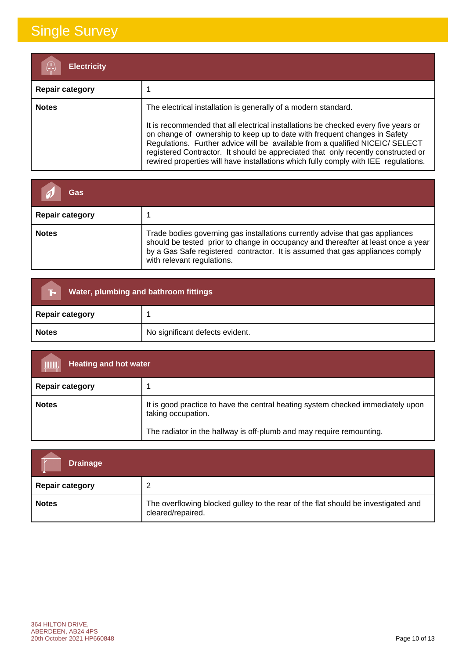| <b>Electricity</b>     |                                                                                                                                                                                                                                                                                                                                                                                                                                                                                                |
|------------------------|------------------------------------------------------------------------------------------------------------------------------------------------------------------------------------------------------------------------------------------------------------------------------------------------------------------------------------------------------------------------------------------------------------------------------------------------------------------------------------------------|
| <b>Repair category</b> |                                                                                                                                                                                                                                                                                                                                                                                                                                                                                                |
| <b>Notes</b>           | The electrical installation is generally of a modern standard.<br>It is recommended that all electrical installations be checked every five years or<br>on change of ownership to keep up to date with frequent changes in Safety<br>Regulations. Further advice will be available from a qualified NICEIC/ SELECT<br>registered Contractor. It should be appreciated that only recently constructed or<br>rewired properties will have installations which fully comply with IEE regulations. |

| Gas                    |                                                                                                                                                                                                                                                                                   |
|------------------------|-----------------------------------------------------------------------------------------------------------------------------------------------------------------------------------------------------------------------------------------------------------------------------------|
| <b>Repair category</b> |                                                                                                                                                                                                                                                                                   |
| <b>Notes</b>           | Trade bodies governing gas installations currently advise that gas appliances<br>should be tested prior to change in occupancy and thereafter at least once a year<br>by a Gas Safe registered contractor. It is assumed that gas appliances comply<br>with relevant regulations. |

| Water, plumbing and bathroom fittings<br>E. |                                 |
|---------------------------------------------|---------------------------------|
| <b>Repair category</b>                      |                                 |
| <b>Notes</b>                                | No significant defects evident. |

| (IIIIIII),<br><b>Heating and hot water</b> |                                                                                                       |
|--------------------------------------------|-------------------------------------------------------------------------------------------------------|
| <b>Repair category</b>                     |                                                                                                       |
| <b>Notes</b>                               | It is good practice to have the central heating system checked immediately upon<br>taking occupation. |
|                                            | The radiator in the hallway is off-plumb and may require remounting.                                  |

| <b>Drainage</b>        |                                                                                                        |
|------------------------|--------------------------------------------------------------------------------------------------------|
| <b>Repair category</b> |                                                                                                        |
| <b>Notes</b>           | The overflowing blocked gulley to the rear of the flat should be investigated and<br>cleared/repaired. |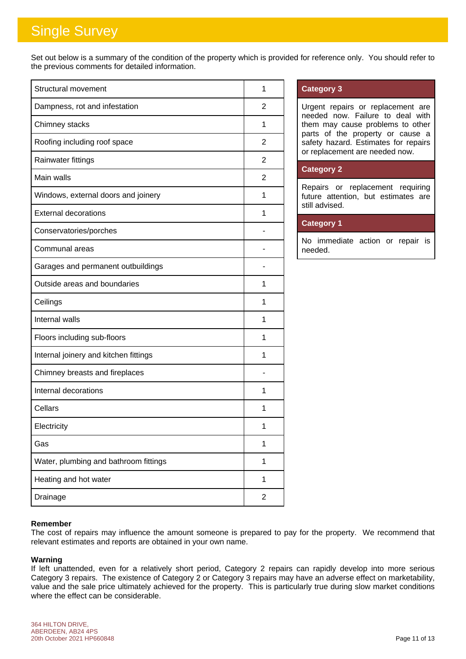Set out below is a summary of the condition of the property which is provided for reference only. You should refer to the previous comments for detailed information.

| <b>Structural movement</b>            | 1              |
|---------------------------------------|----------------|
| Dampness, rot and infestation         | 2              |
| Chimney stacks                        | 1              |
| Roofing including roof space          | 2              |
| Rainwater fittings                    | 2              |
| Main walls                            | 2              |
| Windows, external doors and joinery   | 1              |
| <b>External decorations</b>           | 1              |
| Conservatories/porches                |                |
| Communal areas                        |                |
| Garages and permanent outbuildings    |                |
| Outside areas and boundaries          | 1              |
| Ceilings                              | 1              |
| Internal walls                        | 1              |
| Floors including sub-floors           | 1              |
| Internal joinery and kitchen fittings | 1              |
| Chimney breasts and fireplaces        |                |
| Internal decorations                  | 1              |
| Cellars                               | 1              |
| Electricity                           | 1              |
| Gas                                   | 1              |
| Water, plumbing and bathroom fittings | 1              |
| Heating and hot water                 | 1              |
| Drainage                              | $\overline{2}$ |

### **Category 3**

Urgent repairs or replacement are needed now. Failure to deal with them may cause problems to other parts of the property or cause a safety hazard. Estimates for repairs or replacement are needed now.

### **Category 2**

Repairs or replacement requiring future attention, but estimates are still advised.

### **Category 1**

No immediate action or repair is needed.

### **Remember**

The cost of repairs may influence the amount someone is prepared to pay for the property. We recommend that relevant estimates and reports are obtained in your own name.

### **Warning**

If left unattended, even for a relatively short period, Category 2 repairs can rapidly develop into more serious Category 3 repairs. The existence of Category 2 or Category 3 repairs may have an adverse effect on marketability, value and the sale price ultimately achieved for the property. This is particularly true during slow market conditions where the effect can be considerable.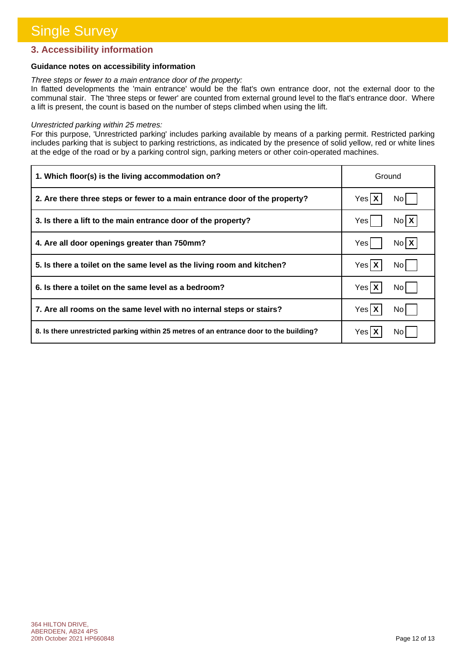### **3. Accessibility information**

### **Guidance notes on accessibility information**

#### *Three steps or fewer to a main entrance door of the property:*

In flatted developments the 'main entrance' would be the flat's own entrance door, not the external door to the communal stair. The 'three steps or fewer' are counted from external ground level to the flat's entrance door. Where a lift is present, the count is based on the number of steps climbed when using the lift.

#### *Unrestricted parking within 25 metres:*

For this purpose, 'Unrestricted parking' includes parking available by means of a parking permit. Restricted parking includes parking that is subject to parking restrictions, as indicated by the presence of solid yellow, red or white lines at the edge of the road or by a parking control sign, parking meters or other coin-operated machines.

| 1. Which floor(s) is the living accommodation on?                                      | Ground             |
|----------------------------------------------------------------------------------------|--------------------|
| 2. Are there three steps or fewer to a main entrance door of the property?             | Yes X<br>No I      |
| 3. Is there a lift to the main entrance door of the property?                          | $N_0$ $X$<br>Yes   |
| 4. Are all door openings greater than 750mm?                                           | No <b>X</b><br>Yes |
| 5. Is there a toilet on the same level as the living room and kitchen?                 | Yes X<br>No l      |
| 6. Is there a toilet on the same level as a bedroom?                                   | Yes X<br>No l      |
| 7. Are all rooms on the same level with no internal steps or stairs?                   | Yes X<br>No l      |
| 8. Is there unrestricted parking within 25 metres of an entrance door to the building? | Yes   )<br>No l    |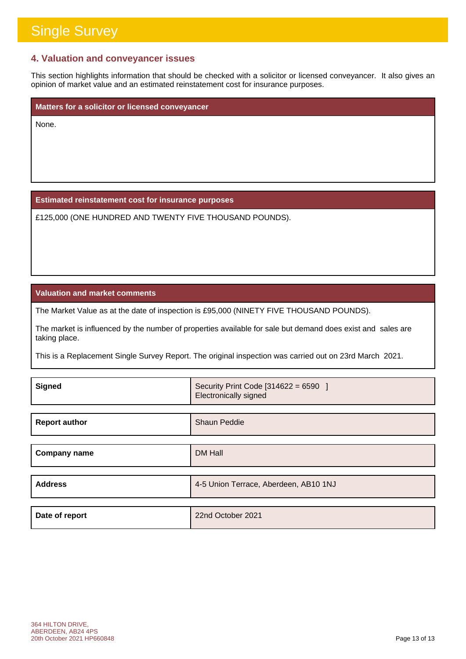### **4. Valuation and conveyancer issues**

This section highlights information that should be checked with a solicitor or licensed conveyancer. It also gives an opinion of market value and an estimated reinstatement cost for insurance purposes.

**Matters for a solicitor or licensed conveyancer**

None.

**Estimated reinstatement cost for insurance purposes**

£125,000 (ONE HUNDRED AND TWENTY FIVE THOUSAND POUNDS).

**Valuation and market comments**

The Market Value as at the date of inspection is £95,000 (NINETY FIVE THOUSAND POUNDS).

The market is influenced by the number of properties available for sale but demand does exist and sales are taking place.

This is a Replacement Single Survey Report. The original inspection was carried out on 23rd March 2021.

| <b>Signed</b>        | Security Print Code [314622 = 6590 ]<br>Electronically signed |
|----------------------|---------------------------------------------------------------|
|                      |                                                               |
| <b>Report author</b> | <b>Shaun Peddie</b>                                           |
|                      |                                                               |
| <b>Company name</b>  | <b>DM Hall</b>                                                |
|                      |                                                               |
| <b>Address</b>       | 4-5 Union Terrace, Aberdeen, AB10 1NJ                         |
|                      |                                                               |
| Date of report       | 22nd October 2021                                             |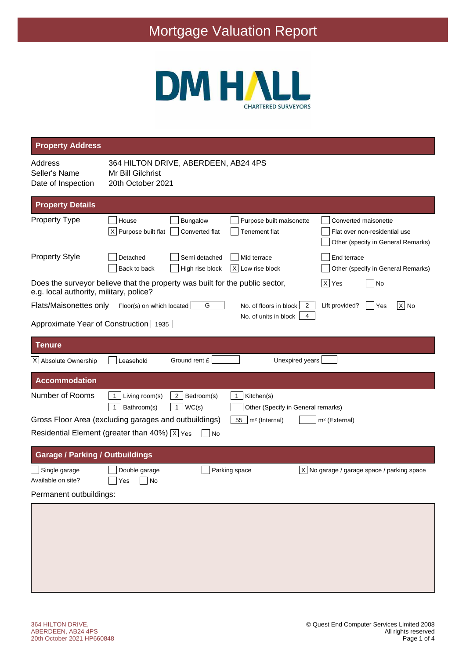# Mortgage Valuation Report



| <b>Property Address</b>                                                                                                 |                                                                                |                                                       |                                                           |                                                                                             |
|-------------------------------------------------------------------------------------------------------------------------|--------------------------------------------------------------------------------|-------------------------------------------------------|-----------------------------------------------------------|---------------------------------------------------------------------------------------------|
| Address<br>Seller's Name<br>Date of Inspection                                                                          | 364 HILTON DRIVE, ABERDEEN, AB24 4PS<br>Mr Bill Gilchrist<br>20th October 2021 |                                                       |                                                           |                                                                                             |
| <b>Property Details</b>                                                                                                 |                                                                                |                                                       |                                                           |                                                                                             |
| <b>Property Type</b>                                                                                                    | House<br>$X$ Purpose built flat                                                | <b>Bungalow</b><br>Converted flat                     | Purpose built maisonette<br><b>Tenement flat</b>          | Converted maisonette<br>Flat over non-residential use<br>Other (specify in General Remarks) |
| <b>Property Style</b>                                                                                                   | Detached<br>Back to back                                                       | Semi detached<br>High rise block                      | Mid terrace<br>$X$ Low rise block                         | End terrace<br>Other (specify in General Remarks)                                           |
| Does the surveyor believe that the property was built for the public sector,<br>e.g. local authority, military, police? |                                                                                |                                                       |                                                           | $ X $ Yes<br>No                                                                             |
| Flats/Maisonettes only                                                                                                  | Floor(s) on which located                                                      | G                                                     | No. of floors in block<br>2<br>No. of units in block<br>4 | $ X $ No<br>Lift provided?<br> Yes                                                          |
| Approximate Year of Construction 1935                                                                                   |                                                                                |                                                       |                                                           |                                                                                             |
| <b>Tenure</b>                                                                                                           |                                                                                |                                                       |                                                           |                                                                                             |
| X Absolute Ownership                                                                                                    | Leasehold                                                                      | Ground rent £                                         | Unexpired years                                           |                                                                                             |
| <b>Accommodation</b>                                                                                                    |                                                                                |                                                       |                                                           |                                                                                             |
| Number of Rooms                                                                                                         | Living room(s)<br>1<br>Bathroom(s)<br>1                                        | Bedroom(s)<br>2 <sub>1</sub><br>$\mathbf{1}$<br>WC(s) | Kitchen(s)<br>1<br>Other (Specify in General remarks)     |                                                                                             |
| Gross Floor Area (excluding garages and outbuildings)                                                                   |                                                                                |                                                       | m <sup>2</sup> (Internal)<br>55                           | m <sup>2</sup> (External)                                                                   |
| Residential Element (greater than 40%) $ X $ Yes                                                                        |                                                                                | No                                                    |                                                           |                                                                                             |
| <b>Garage / Parking / Outbuildings</b>                                                                                  |                                                                                |                                                       |                                                           |                                                                                             |
| Single garage<br>Available on site?                                                                                     | Double garage<br>No<br>Yes                                                     |                                                       | Parking space                                             | $ X $ No garage / garage space / parking space                                              |
| Permanent outbuildings:                                                                                                 |                                                                                |                                                       |                                                           |                                                                                             |
|                                                                                                                         |                                                                                |                                                       |                                                           |                                                                                             |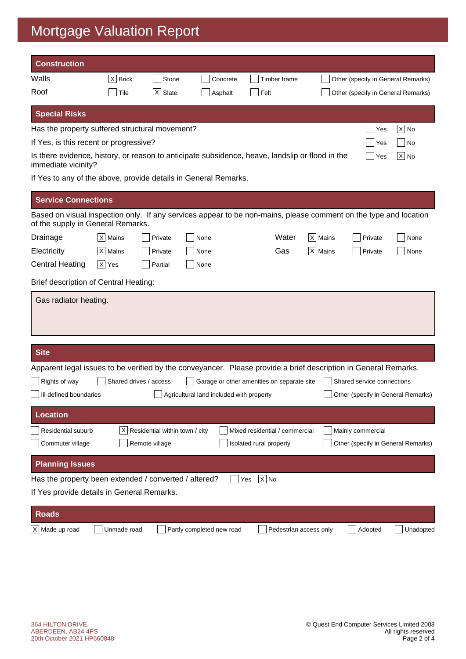# Mortgage Valuation Report

| <b>Construction</b>                                                                                                                                   |             |                                |                                          |                                            |             |                                    |                   |
|-------------------------------------------------------------------------------------------------------------------------------------------------------|-------------|--------------------------------|------------------------------------------|--------------------------------------------|-------------|------------------------------------|-------------------|
| Walls                                                                                                                                                 | $X$ Brick   | Stone                          | Concrete                                 | Timber frame                               |             | Other (specify in General Remarks) |                   |
| Roof                                                                                                                                                  | Tile        | $ \mathsf{x} $<br>Slate        | Asphalt                                  | Felt                                       |             | Other (specify in General Remarks) |                   |
| <b>Special Risks</b>                                                                                                                                  |             |                                |                                          |                                            |             |                                    |                   |
| Has the property suffered structural movement?                                                                                                        |             |                                |                                          |                                            |             | Yes                                | $ X $ No          |
| If Yes, is this recent or progressive?<br>No<br>Yes                                                                                                   |             |                                |                                          |                                            |             |                                    |                   |
| Is there evidence, history, or reason to anticipate subsidence, heave, landslip or flood in the<br>immediate vicinity?                                |             |                                |                                          |                                            |             | Yes                                | $\overline{X}$ No |
| If Yes to any of the above, provide details in General Remarks.                                                                                       |             |                                |                                          |                                            |             |                                    |                   |
| <b>Service Connections</b>                                                                                                                            |             |                                |                                          |                                            |             |                                    |                   |
| Based on visual inspection only. If any services appear to be non-mains, please comment on the type and location<br>of the supply in General Remarks. |             |                                |                                          |                                            |             |                                    |                   |
| Drainage                                                                                                                                              | $ X $ Mains | Private                        | None                                     | Water                                      | X   Mains   | Private                            | None              |
| Electricity                                                                                                                                           | $ X $ Mains | Private                        | None                                     | Gas                                        | $ X $ Mains | Private                            | None              |
| <b>Central Heating</b>                                                                                                                                | $ X $ Yes   | Partial                        | None                                     |                                            |             |                                    |                   |
| Brief description of Central Heating:                                                                                                                 |             |                                |                                          |                                            |             |                                    |                   |
| Gas radiator heating.                                                                                                                                 |             |                                |                                          |                                            |             |                                    |                   |
| <b>Site</b>                                                                                                                                           |             |                                |                                          |                                            |             |                                    |                   |
|                                                                                                                                                       |             |                                |                                          |                                            |             |                                    |                   |
| Apparent legal issues to be verified by the conveyancer. Please provide a brief description in General Remarks.<br>Rights of way                      |             | Shared drives / access         |                                          | Garage or other amenities on separate site |             | Shared service connections         |                   |
| III-defined boundaries                                                                                                                                |             |                                | Agricultural land included with property |                                            |             | Other (specify in General Remarks) |                   |
| <b>Location</b>                                                                                                                                       |             |                                |                                          |                                            |             |                                    |                   |
| Residential suburb                                                                                                                                    | X           | Residential within town / city |                                          | Mixed residential / commercial             |             | Mainly commercial                  |                   |
| Commuter village                                                                                                                                      |             | Remote village                 |                                          | Isolated rural property                    |             | Other (specify in General Remarks) |                   |
| <b>Planning Issues</b>                                                                                                                                |             |                                |                                          |                                            |             |                                    |                   |
| Has the property been extended / converted / altered?                                                                                                 |             |                                |                                          | $X$ No<br>Yes                              |             |                                    |                   |
| If Yes provide details in General Remarks.                                                                                                            |             |                                |                                          |                                            |             |                                    |                   |
| <b>Roads</b>                                                                                                                                          |             |                                |                                          |                                            |             |                                    |                   |
| $X$ Made up road                                                                                                                                      | Unmade road |                                | Partly completed new road                | Pedestrian access only                     |             | Adopted                            | Unadopted         |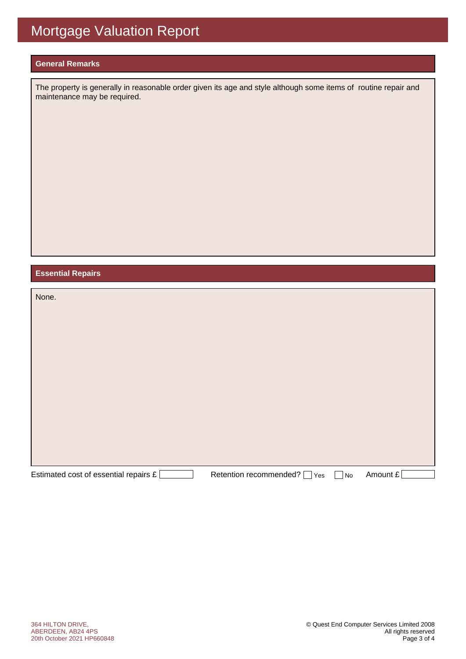### **General Remarks**

The property is generally in reasonable order given its age and style although some items of routine repair and maintenance may be required.

### **Essential Repairs**

| None.                                 |                               |                   |          |
|---------------------------------------|-------------------------------|-------------------|----------|
|                                       |                               |                   |          |
|                                       |                               |                   |          |
|                                       |                               |                   |          |
|                                       |                               |                   |          |
|                                       |                               |                   |          |
|                                       |                               |                   |          |
|                                       |                               |                   |          |
|                                       |                               |                   |          |
| Estimated cost of essential repairs £ | Retention recommended?<br>Yes | $\blacksquare$ No | Amount £ |